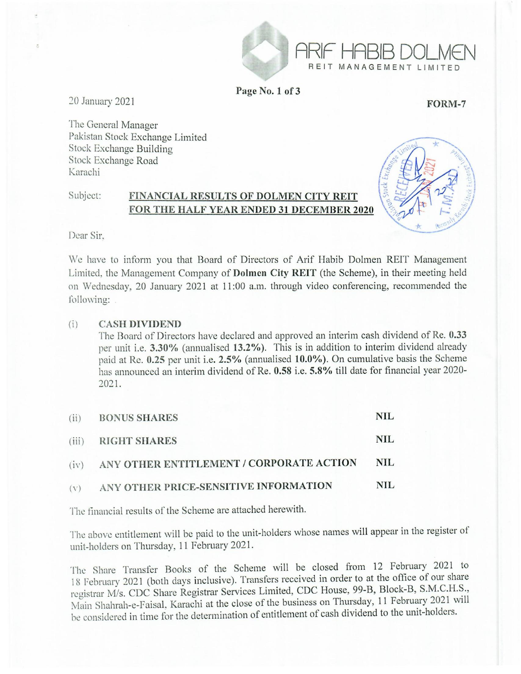

Page No.1 of 3

20 January 2021

FORM-7

ARIF HABIB DOLMEN REIT MANAGEMENT LIMITED

The General Manager Pakistan Stock Exchange Limited Stock Exchange Building Stock Exchange Road Karachi

Subject:

### FINANCIAL RESULTS OF DOLMEN CITY REIT FOR THE HALF YEAR ENDED 31 DECEMBER 2020

Dear Sir,

We have to inform you that Board of Directors of Arif Habib Dolmen REIT Management Limited, the Management Company of Dolmen City REIT (the Scheme), in their meeting held on Wednesday, 20 January 2021 at 11:00 a.m. through video conferencing, recommended the following:

#### (i) CASH DIVIDEND

The Board of Directors have declared and approved an interim cash dividend of Re. 0.33 per unit i.e. 3.30% (annualised 13.2%). This is in addition to interim dividend already paid at Re.  $0.25$  per unit i.e.  $2.5\%$  (annualised  $10.0\%$ ). On cumulative basis the Scheme has announced an interim dividend of Re. 0.58 i.e. 5.8% till date for financial year 2020-2021.

| (ii) | <b>BONUS SHARES</b>                           | NIL. |
|------|-----------------------------------------------|------|
|      | (iii) RIGHT SHARES                            | NIL  |
|      | (iv) ANY OTHER ENTITLEMENT / CORPORATE ACTION | NIL. |
|      | (v) ANY OTHER PRICE-SENSITIVE INFORMATION     | NIL. |

The financial results of the Scheme are attached herewith.

The above entitlement will be paid to the unit-holders whose names will appear in the register of unit-holders on Thursday, 11 February 2021.

The Share Transfer Books of the Scheme will be closed from 12 February 2021 to <sup>1</sup>g February 2021 (both days inclusive). Transfers received in order to at the office of our share registrar M/s. CDC Share Registrar Services Limited, CDC House, 99-B, Block-B, S.M.C.H.S., Main Shahrah-e-Faisal, Karachi at the close of the business on Thursday, 11 February 2021 will be considered in time for the determination of entitlement of cash dividend to the unit-holders.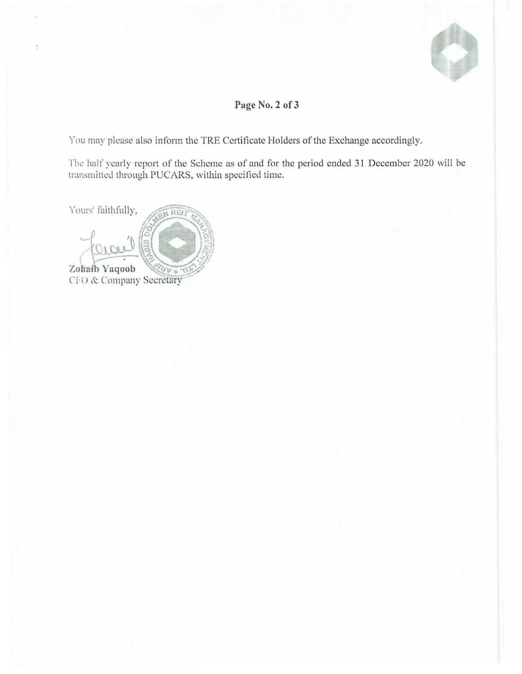

# **rage No.2 of 3**

You may please also inform the TRE Certificate Holders of the Exchange accordingly.

The half yearly report of the Scheme as of and for the period ended 31 December 2020 will be transmitted through PUCARS, within specified time.

Yours' faithfully,

N REI) Zohaib Yaqoob CFO & Company Secretary